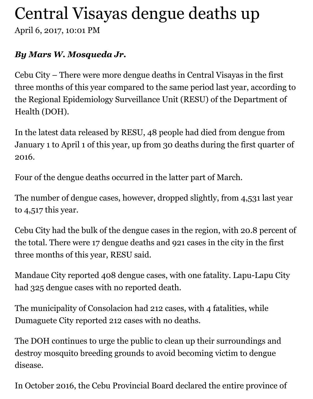## Central Visayas dengue deaths up

April 6, 2017, 10:01 PM

## *By Mars W. Mosqueda Jr.*

Cebu City – There were more dengue deaths in Central Visayas in the first three months of this year compared to the same period last year, according to the Regional Epidemiology Surveillance Unit (RESU) of the Department of Health (DOH).

In the latest data released by RESU, 48 people had died from dengue from January 1 to April 1 of this year, up from 30 deaths during the first quarter of 2016.

Four of the dengue deaths occurred in the latter part of March.

The number of dengue cases, however, dropped slightly, from 4,531 last year to 4,517 this year.

Cebu City had the bulk of the dengue cases in the region, with 20.8 percent of the total. There were 17 dengue deaths and 921 cases in the city in the first three months of this year, RESU said.

Mandaue City reported 408 dengue cases, with one fatality. Lapu-Lapu City had 325 dengue cases with no reported death.

The municipality of Consolacion had 212 cases, with 4 fatalities, while Dumaguete City reported 212 cases with no deaths.

The DOH continues to urge the public to clean up their surroundings and destroy mosquito breeding grounds to avoid becoming victim to dengue disease.

In October 2016, the Cebu Provincial Board declared the entire province of